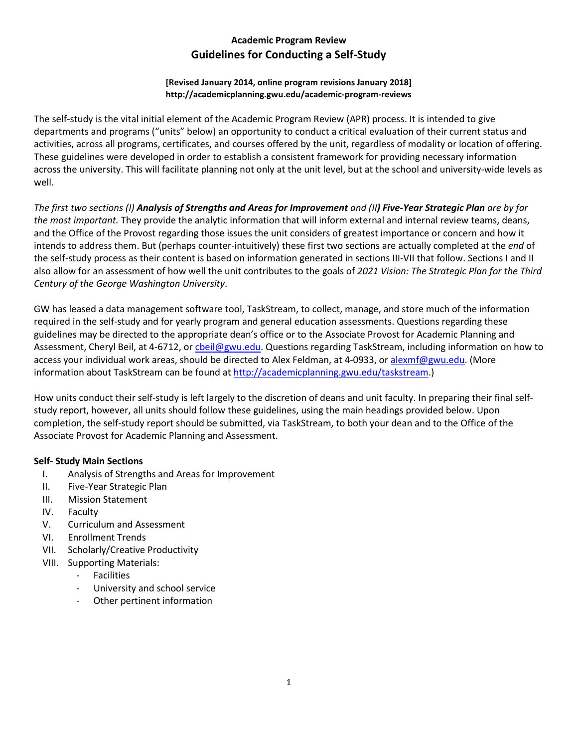# **Academic Program Review Guidelines for Conducting a Self-Study**

#### **[Revised January 2014, online program revisions January 2018] http://academicplanning.gwu.edu/academic-program-reviews**

The self-study is the vital initial element of the Academic Program Review (APR) process. It is intended to give departments and programs ("units" below) an opportunity to conduct a critical evaluation of their current status and activities, across all programs, certificates, and courses offered by the unit, regardless of modality or location of offering. These guidelines were developed in order to establish a consistent framework for providing necessary information across the university. This will facilitate planning not only at the unit level, but at the school and university-wide levels as well.

*The first two sections (I) Analysis of Strengths and Areas for Improvement and (II) Five-Year Strategic Plan are by far the most important.* They provide the analytic information that will inform external and internal review teams, deans, and the Office of the Provost regarding those issues the unit considers of greatest importance or concern and how it intends to address them. But (perhaps counter-intuitively) these first two sections are actually completed at the *end* of the self-study process as their content is based on information generated in sections III-VII that follow. Sections I and II also allow for an assessment of how well the unit contributes to the goals of *2021 Vision: The Strategic Plan for the Third Century of the George Washington University*.

GW has leased a data management software tool, TaskStream, to collect, manage, and store much of the information required in the self-study and for yearly program and general education assessments. Questions regarding these guidelines may be directed to the appropriate dean's office or to the Associate Provost for Academic Planning and Assessment, Cheryl Beil, at 4-6712, or cheil@gwu.edu. Questions regarding TaskStream, including information on how to access your individual work areas, should be directed to Alex Feldman, at 4-0933, o[r alexmf@gwu.edu.](mailto:twilson@gwu.edu) (More information about TaskStream can be found at [http://academicplanning.gwu.edu/taskstream.](http://academicplanning.gwu.edu/taskstream))

How units conduct their self-study is left largely to the discretion of deans and unit faculty. In preparing their final selfstudy report, however, all units should follow these guidelines, using the main headings provided below. Upon completion, the self-study report should be submitted, via TaskStream, to both your dean and to the Office of the Associate Provost for Academic Planning and Assessment.

### **Self- Study Main Sections**

- I. Analysis of Strengths and Areas for Improvement
- II. Five-Year Strategic Plan
- III. Mission Statement
- IV. Faculty
- V. Curriculum and Assessment
- VI. Enrollment Trends
- VII. Scholarly/Creative Productivity
- VIII. Supporting Materials:
	- Facilities
	- University and school service
	- Other pertinent information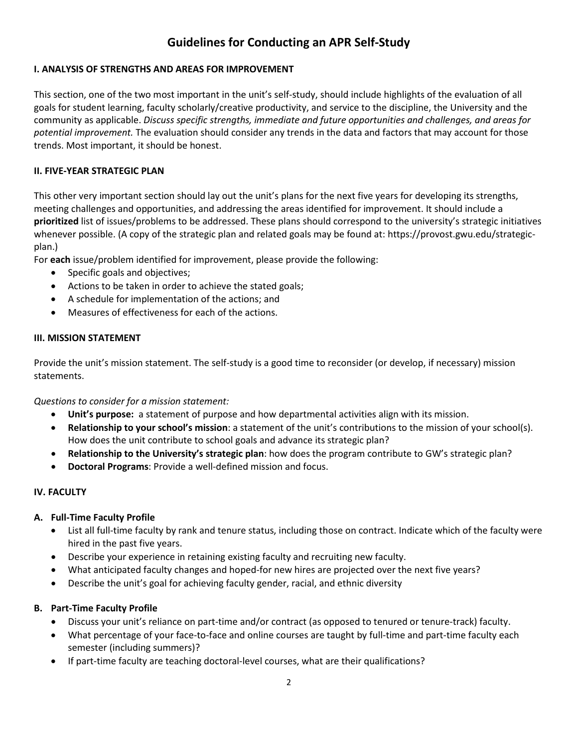# **Guidelines for Conducting an APR Self-Study**

### **I. ANALYSIS OF STRENGTHS AND AREAS FOR IMPROVEMENT**

This section, one of the two most important in the unit's self-study, should include highlights of the evaluation of all goals for student learning, faculty scholarly/creative productivity, and service to the discipline, the University and the community as applicable. *Discuss specific strengths, immediate and future opportunities and challenges, and areas for potential improvement.* The evaluation should consider any trends in the data and factors that may account for those trends. Most important, it should be honest.

#### **II. FIVE-YEAR STRATEGIC PLAN**

This other very important section should lay out the unit's plans for the next five years for developing its strengths, meeting challenges and opportunities, and addressing the areas identified for improvement. It should include a **prioritized** list of issues/problems to be addressed. These plans should correspond to the university's strategic initiatives whenever possible. (A copy of the strategic plan and related goals may be found at: https://provost.gwu.edu/strategicplan.)

For **each** issue/problem identified for improvement, please provide the following:

- Specific goals and objectives;
- Actions to be taken in order to achieve the stated goals;
- A schedule for implementation of the actions; and
- Measures of effectiveness for each of the actions.

### **III. MISSION STATEMENT**

Provide the unit's mission statement. The self-study is a good time to reconsider (or develop, if necessary) mission statements.

*Questions to consider for a mission statement:*

- **Unit's purpose:** a statement of purpose and how departmental activities align with its mission.
- **Relationship to your school's mission**: a statement of the unit's contributions to the mission of your school(s). How does the unit contribute to school goals and advance its strategic plan?
- **Relationship to the University's strategic plan**: how does the program contribute to GW's strategic plan?
- **Doctoral Programs**: Provide a well-defined mission and focus.

#### **IV. FACULTY**

#### **A. Full-Time Faculty Profile**

- List all full-time faculty by rank and tenure status, including those on contract. Indicate which of the faculty were hired in the past five years.
- Describe your experience in retaining existing faculty and recruiting new faculty.
- What anticipated faculty changes and hoped-for new hires are projected over the next five years?
- Describe the unit's goal for achieving faculty gender, racial, and ethnic diversity

#### **B. Part-Time Faculty Profile**

- Discuss your unit's reliance on part-time and/or contract (as opposed to tenured or tenure-track) faculty.
- What percentage of your face-to-face and online courses are taught by full-time and part-time faculty each semester (including summers)?
- If part-time faculty are teaching doctoral-level courses, what are their qualifications?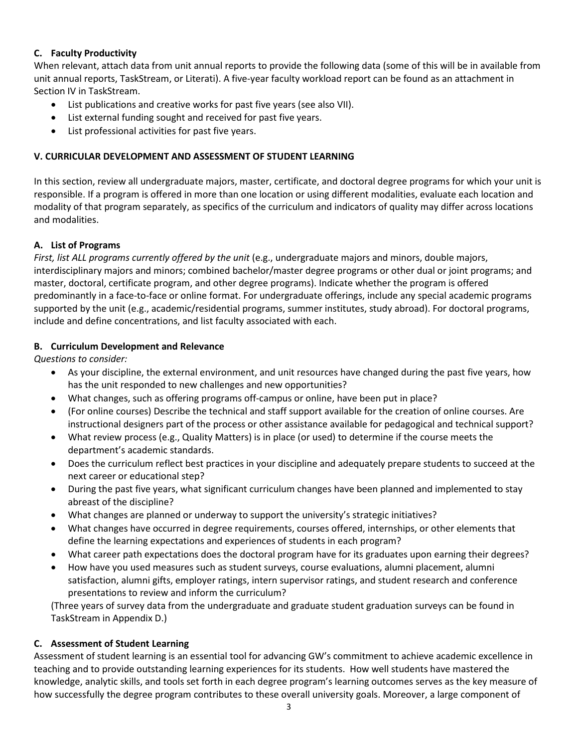### **C. Faculty Productivity**

When relevant, attach data from unit annual reports to provide the following data (some of this will be in available from unit annual reports, TaskStream, or Literati). A five-year faculty workload report can be found as an attachment in Section IV in TaskStream.

- List publications and creative works for past five years (see also VII).
- List external funding sought and received for past five years.
- List professional activities for past five years.

### **V. CURRICULAR DEVELOPMENT AND ASSESSMENT OF STUDENT LEARNING**

In this section, review all undergraduate majors, master, certificate, and doctoral degree programs for which your unit is responsible. If a program is offered in more than one location or using different modalities, evaluate each location and modality of that program separately, as specifics of the curriculum and indicators of quality may differ across locations and modalities.

### **A. List of Programs**

*First, list ALL programs currently offered by the unit* (e.g., undergraduate majors and minors, double majors, interdisciplinary majors and minors; combined bachelor/master degree programs or other dual or joint programs; and master, doctoral, certificate program, and other degree programs). Indicate whether the program is offered predominantly in a face-to-face or online format. For undergraduate offerings, include any special academic programs supported by the unit (e.g., academic/residential programs, summer institutes, study abroad). For doctoral programs, include and define concentrations, and list faculty associated with each.

### **B. Curriculum Development and Relevance**

*Questions to consider:*

- As your discipline, the external environment, and unit resources have changed during the past five years, how has the unit responded to new challenges and new opportunities?
- What changes, such as offering programs off-campus or online, have been put in place?
- (For online courses) Describe the technical and staff support available for the creation of online courses. Are instructional designers part of the process or other assistance available for pedagogical and technical support?
- What review process (e.g., Quality Matters) is in place (or used) to determine if the course meets the department's academic standards.
- Does the curriculum reflect best practices in your discipline and adequately prepare students to succeed at the next career or educational step?
- During the past five years, what significant curriculum changes have been planned and implemented to stay abreast of the discipline?
- What changes are planned or underway to support the university's strategic initiatives?
- What changes have occurred in degree requirements, courses offered, internships, or other elements that define the learning expectations and experiences of students in each program?
- What career path expectations does the doctoral program have for its graduates upon earning their degrees?
- How have you used measures such as student surveys, course evaluations, alumni placement, alumni satisfaction, alumni gifts, employer ratings, intern supervisor ratings, and student research and conference presentations to review and inform the curriculum?

(Three years of survey data from the undergraduate and graduate student graduation surveys can be found in TaskStream in Appendix D.)

### **C. Assessment of Student Learning**

Assessment of student learning is an essential tool for advancing GW's commitment to achieve academic excellence in teaching and to provide outstanding learning experiences for its students. How well students have mastered the knowledge, analytic skills, and tools set forth in each degree program's learning outcomes serves as the key measure of how successfully the degree program contributes to these overall university goals. Moreover, a large component of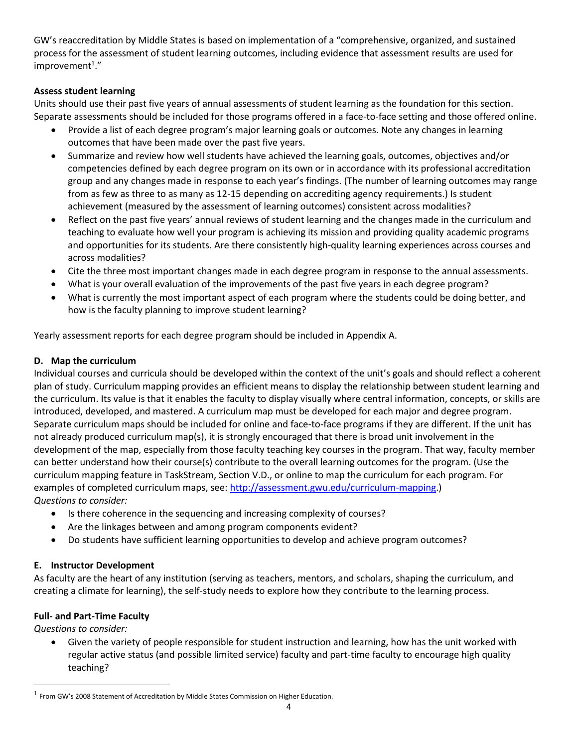GW's reaccreditation by Middle States is based on implementation of a "comprehensive, organized, and sustained process for the assessment of student learning outcomes, including evidence that assessment results are used for  $improvement<sup>1</sup>."$ 

### **Assess student learning**

Units should use their past five years of annual assessments of student learning as the foundation for this section. Separate assessments should be included for those programs offered in a face-to-face setting and those offered online.

- Provide a list of each degree program's major learning goals or outcomes. Note any changes in learning outcomes that have been made over the past five years.
- Summarize and review how well students have achieved the learning goals, outcomes, objectives and/or competencies defined by each degree program on its own or in accordance with its professional accreditation group and any changes made in response to each year's findings. (The number of learning outcomes may range from as few as three to as many as 12-15 depending on accrediting agency requirements.) Is student achievement (measured by the assessment of learning outcomes) consistent across modalities?
- Reflect on the past five years' annual reviews of student learning and the changes made in the curriculum and teaching to evaluate how well your program is achieving its mission and providing quality academic programs and opportunities for its students. Are there consistently high-quality learning experiences across courses and across modalities?
- Cite the three most important changes made in each degree program in response to the annual assessments.
- What is your overall evaluation of the improvements of the past five years in each degree program?
- What is currently the most important aspect of each program where the students could be doing better, and how is the faculty planning to improve student learning?

Yearly assessment reports for each degree program should be included in Appendix A.

### **D. Map the curriculum**

Individual courses and curricula should be developed within the context of the unit's goals and should reflect a coherent plan of study. Curriculum mapping provides an efficient means to display the relationship between student learning and the curriculum. Its value is that it enables the faculty to display visually where central information, concepts, or skills are introduced, developed, and mastered. A curriculum map must be developed for each major and degree program. Separate curriculum maps should be included for online and face-to-face programs if they are different. If the unit has not already produced curriculum map(s), it is strongly encouraged that there is broad unit involvement in the development of the map, especially from those faculty teaching key courses in the program. That way, faculty member can better understand how their course(s) contribute to the overall learning outcomes for the program. (Use the curriculum mapping feature in TaskStream, Section V.D., or online to map the curriculum for each program. For examples of completed curriculum maps, see: [http://assessment.gwu.edu/curriculum-mapping.](http://assessment.gwu.edu/curriculum-mapping)) *Questions to consider:*

- Is there coherence in the sequencing and increasing complexity of courses?
- Are the linkages between and among program components evident?
- Do students have sufficient learning opportunities to develop and achieve program outcomes?

# **E. Instructor Development**

As faculty are the heart of any institution (serving as teachers, mentors, and scholars, shaping the curriculum, and creating a climate for learning), the self-study needs to explore how they contribute to the learning process.

### **Full- and Part-Time Faculty**

*Questions to consider:*

• Given the variety of people responsible for student instruction and learning, how has the unit worked with regular active status (and possible limited service) faculty and part-time faculty to encourage high quality teaching?

 $1$  From GW's 2008 Statement of Accreditation by Middle States Commission on Higher Education.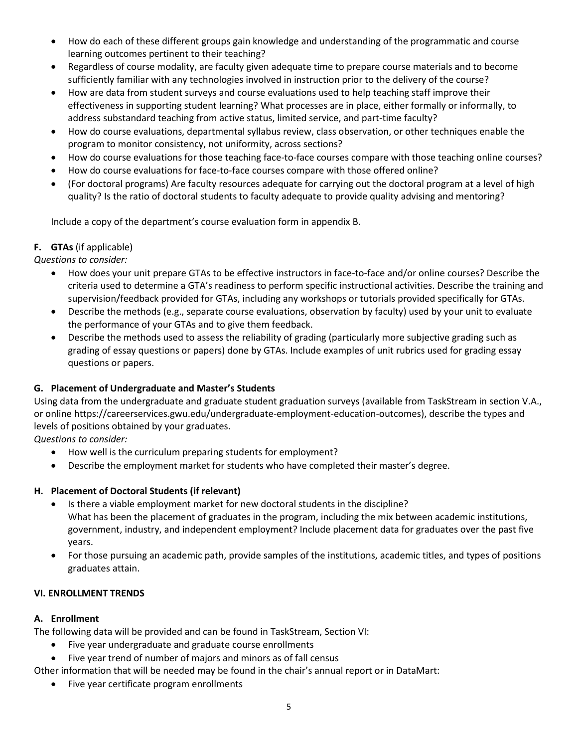- How do each of these different groups gain knowledge and understanding of the programmatic and course learning outcomes pertinent to their teaching?
- Regardless of course modality, are faculty given adequate time to prepare course materials and to become sufficiently familiar with any technologies involved in instruction prior to the delivery of the course?
- How are data from student surveys and course evaluations used to help teaching staff improve their effectiveness in supporting student learning? What processes are in place, either formally or informally, to address substandard teaching from active status, limited service, and part-time faculty?
- How do course evaluations, departmental syllabus review, class observation, or other techniques enable the program to monitor consistency, not uniformity, across sections?
- How do course evaluations for those teaching face-to-face courses compare with those teaching online courses?
- How do course evaluations for face-to-face courses compare with those offered online?
- (For doctoral programs) Are faculty resources adequate for carrying out the doctoral program at a level of high quality? Is the ratio of doctoral students to faculty adequate to provide quality advising and mentoring?

Include a copy of the department's course evaluation form in appendix B.

### **F. GTAs** (if applicable)

*Questions to consider:*

- How does your unit prepare GTAs to be effective instructors in face-to-face and/or online courses? Describe the criteria used to determine a GTA's readiness to perform specific instructional activities. Describe the training and supervision/feedback provided for GTAs, including any workshops or tutorials provided specifically for GTAs.
- Describe the methods (e.g., separate course evaluations, observation by faculty) used by your unit to evaluate the performance of your GTAs and to give them feedback.
- Describe the methods used to assess the reliability of grading (particularly more subjective grading such as grading of essay questions or papers) done by GTAs. Include examples of unit rubrics used for grading essay questions or papers.

# **G. Placement of Undergraduate and Master's Students**

Using data from the undergraduate and graduate student graduation surveys (available from TaskStream in section V.A., or online https://careerservices.gwu.edu/undergraduate-employment-education-outcomes), describe the types and levels of positions obtained by your graduates.

*Questions to consider:*

- How well is the curriculum preparing students for employment?
- Describe the employment market for students who have completed their master's degree.

# **H. Placement of Doctoral Students (if relevant)**

- Is there a viable employment market for new doctoral students in the discipline? What has been the placement of graduates in the program, including the mix between academic institutions, government, industry, and independent employment? Include placement data for graduates over the past five years.
- For those pursuing an academic path, provide samples of the institutions, academic titles, and types of positions graduates attain.

# **VI. ENROLLMENT TRENDS**

### **A. Enrollment**

The following data will be provided and can be found in TaskStream, Section VI:

- Five year undergraduate and graduate course enrollments
- Five year trend of number of majors and minors as of fall census

Other information that will be needed may be found in the chair's annual report or in DataMart:

Five year certificate program enrollments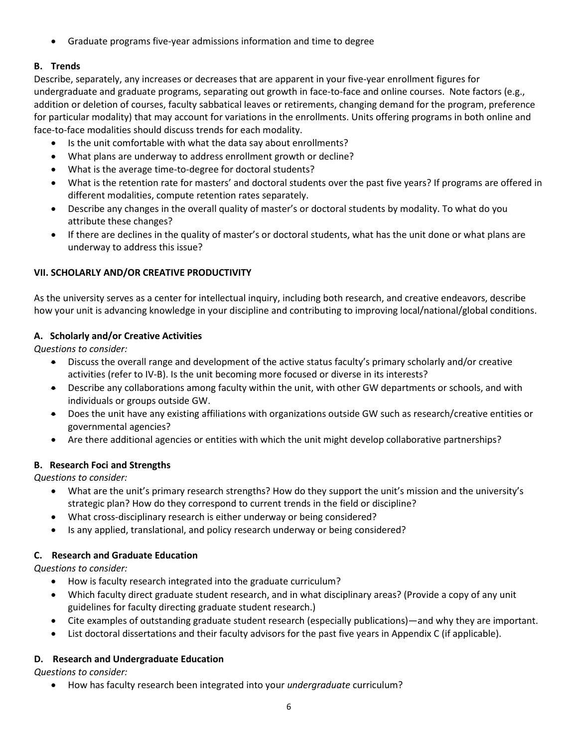• Graduate programs five-year admissions information and time to degree

## **B. Trends**

Describe, separately, any increases or decreases that are apparent in your five-year enrollment figures for undergraduate and graduate programs, separating out growth in face-to-face and online courses. Note factors (e.g., addition or deletion of courses, faculty sabbatical leaves or retirements, changing demand for the program, preference for particular modality) that may account for variations in the enrollments. Units offering programs in both online and face-to-face modalities should discuss trends for each modality.

- Is the unit comfortable with what the data say about enrollments?
- What plans are underway to address enrollment growth or decline?
- What is the average time-to-degree for doctoral students?
- What is the retention rate for masters' and doctoral students over the past five years? If programs are offered in different modalities, compute retention rates separately.
- Describe any changes in the overall quality of master's or doctoral students by modality. To what do you attribute these changes?
- If there are declines in the quality of master's or doctoral students, what has the unit done or what plans are underway to address this issue?

### **VII. SCHOLARLY AND/OR CREATIVE PRODUCTIVITY**

As the university serves as a center for intellectual inquiry, including both research, and creative endeavors, describe how your unit is advancing knowledge in your discipline and contributing to improving local/national/global conditions.

### **A. Scholarly and/or Creative Activities**

*Questions to consider:*

- Discuss the overall range and development of the active status faculty's primary scholarly and/or creative activities (refer to IV-B). Is the unit becoming more focused or diverse in its interests?
- Describe any collaborations among faculty within the unit, with other GW departments or schools, and with individuals or groups outside GW.
- Does the unit have any existing affiliations with organizations outside GW such as research/creative entities or governmental agencies?
- Are there additional agencies or entities with which the unit might develop collaborative partnerships?

# **B. Research Foci and Strengths**

*Questions to consider:*

- What are the unit's primary research strengths? How do they support the unit's mission and the university's strategic plan? How do they correspond to current trends in the field or discipline?
- What cross-disciplinary research is either underway or being considered?
- Is any applied, translational, and policy research underway or being considered?

# **C. Research and Graduate Education**

*Questions to consider:*

- How is faculty research integrated into the graduate curriculum?
- Which faculty direct graduate student research, and in what disciplinary areas? (Provide a copy of any unit guidelines for faculty directing graduate student research.)
- Cite examples of outstanding graduate student research (especially publications)—and why they are important.
- List doctoral dissertations and their faculty advisors for the past five years in Appendix C (if applicable).

# **D. Research and Undergraduate Education**

*Questions to consider:*

• How has faculty research been integrated into your *undergraduate* curriculum?